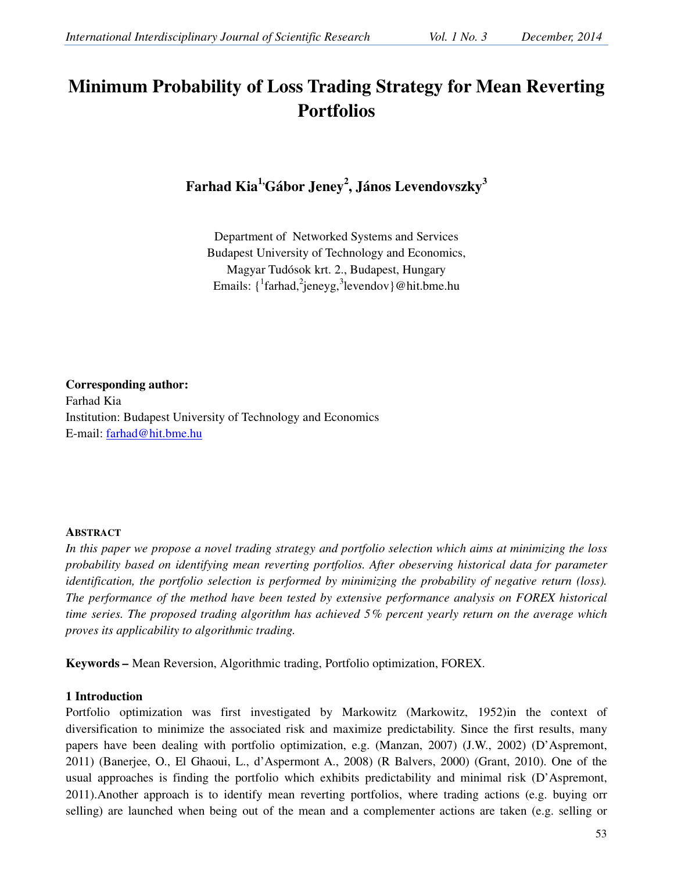# **Minimum Probability of Loss Trading Strategy for Mean Reverting Portfolios**

**Farhad Kia1,Gábor Jeney<sup>2</sup> , János Levendovszky<sup>3</sup>**

Department of Networked Systems and Services Budapest University of Technology and Economics, Magyar Tudósok krt. 2., Budapest, Hungary Emails: {  $\frac{1}{2}$  farhad,  $\frac{2}{3}$  jeneyg,  $\frac{3}{3}$  levendov } @ hit.bme.hu

**Corresponding author:** Farhad Kia Institution: Budapest University of Technology and Economics E-mail: farhad@hit.bme.hu

# **ABSTRACT**

*In this paper we propose a novel trading strategy and portfolio selection which aims at minimizing the loss probability based on identifying mean reverting portfolios. After obeserving historical data for parameter identification, the portfolio selection is performed by minimizing the probability of negative return (loss). The performance of the method have been tested by extensive performance analysis on FOREX historical time series. The proposed trading algorithm has achieved 5% percent yearly return on the average which proves its applicability to algorithmic trading.* 

**Keywords** *–* Mean Reversion, Algorithmic trading, Portfolio optimization, FOREX.

# **1 Introduction**

Portfolio optimization was first investigated by Markowitz (Markowitz, 1952)in the context of diversification to minimize the associated risk and maximize predictability. Since the first results, many papers have been dealing with portfolio optimization, e.g. (Manzan, 2007) (J.W., 2002) (D'Aspremont, 2011) (Banerjee, O., El Ghaoui, L., d'Aspermont A., 2008) (R Balvers, 2000) (Grant, 2010). One of the usual approaches is finding the portfolio which exhibits predictability and minimal risk (D'Aspremont, 2011).Another approach is to identify mean reverting portfolios, where trading actions (e.g. buying orr selling) are launched when being out of the mean and a complementer actions are taken (e.g. selling or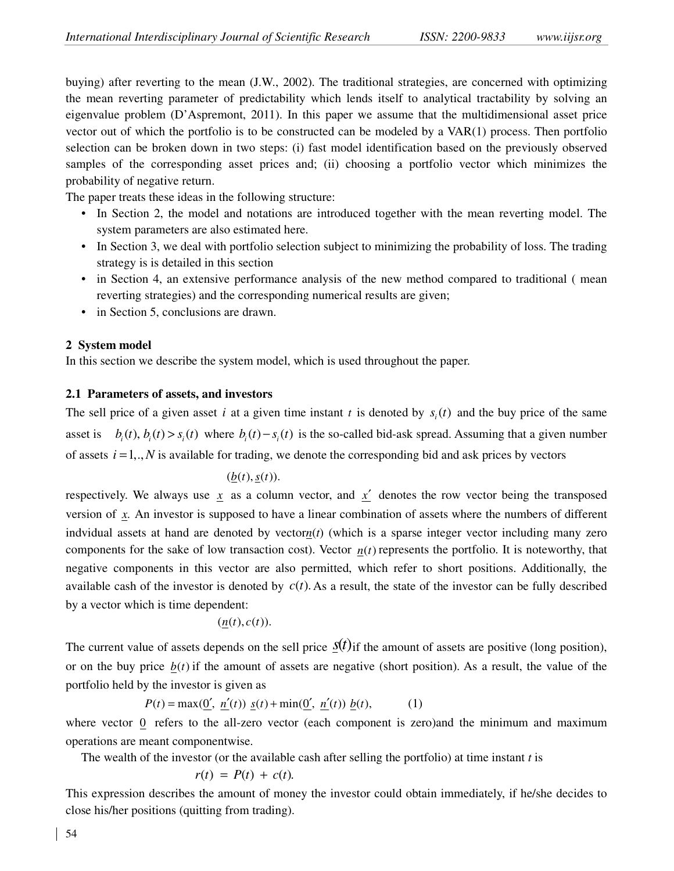buying) after reverting to the mean (J.W., 2002). The traditional strategies, are concerned with optimizing the mean reverting parameter of predictability which lends itself to analytical tractability by solving an eigenvalue problem (D'Aspremont, 2011). In this paper we assume that the multidimensional asset price vector out of which the portfolio is to be constructed can be modeled by a VAR(1) process. Then portfolio selection can be broken down in two steps: (i) fast model identification based on the previously observed samples of the corresponding asset prices and; (ii) choosing a portfolio vector which minimizes the probability of negative return.

The paper treats these ideas in the following structure:

- In Section 2, the model and notations are introduced together with the mean reverting model. The system parameters are also estimated here.
- In Section 3, we deal with portfolio selection subject to minimizing the probability of loss. The trading strategy is is detailed in this section
- in Section 4, an extensive performance analysis of the new method compared to traditional (mean reverting strategies) and the corresponding numerical results are given;
- in Section 5, conclusions are drawn.

# **2 System model**

In this section we describe the system model, which is used throughout the paper.

## **2.1 Parameters of assets, and investors**

The sell price of a given asset *i* at a given time instant *t* is denoted by  $s_i(t)$  and the buy price of the same asset is  $b_i(t)$ ,  $b_i(t) > s_i(t)$  where  $b_i(t) - s_i(t)$  is the so-called bid-ask spread. Assuming that a given number of assets  $i = 1,.., N$  is available for trading, we denote the corresponding bid and ask prices by vectors

$$
(\underline{b}(t),\underline{s}(t)).
$$

respectively. We always use  $x$  as a column vector, and  $x'$  denotes the row vector being the transposed version of *x*. An investor is supposed to have a linear combination of assets where the numbers of different indvidual assets at hand are denoted by vector*n*(*t*) (which is a sparse integer vector including many zero components for the sake of low transaction cost). Vector  $n(t)$  represents the portfolio. It is noteworthy, that negative components in this vector are also permitted, which refer to short positions. Additionally, the available cash of the investor is denoted by  $c(t)$ . As a result, the state of the investor can be fully described by a vector which is time dependent:

$$
(\underline{n}(t),c(t)).
$$

The current value of assets depends on the sell price  $s(t)$  if the amount of assets are positive (long position), or on the buy price  $b(t)$  if the amount of assets are negative (short position). As a result, the value of the portfolio held by the investor is given as

$$
P(t) = \max(\underline{0}', \ \underline{n}'(t)) \ \underline{s}(t) + \min(\underline{0}', \ \underline{n}'(t)) \ \underline{b}(t), \tag{1}
$$

where vector 0 refers to the all-zero vector (each component is zero) and the minimum and maximum operations are meant componentwise.

The wealth of the investor (or the available cash after selling the portfolio) at time instant *t* is

$$
r(t) = P(t) + c(t).
$$

This expression describes the amount of money the investor could obtain immediately, if he/she decides to close his/her positions (quitting from trading).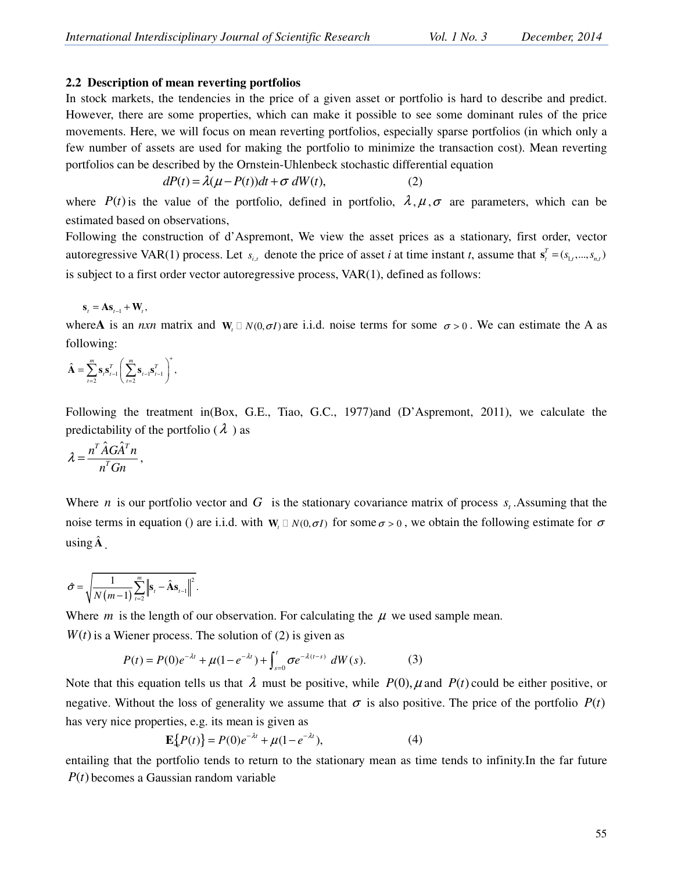## **2.2 Description of mean reverting portfolios**

In stock markets, the tendencies in the price of a given asset or portfolio is hard to describe and predict. However, there are some properties, which can make it possible to see some dominant rules of the price movements. Here, we will focus on mean reverting portfolios, especially sparse portfolios (in which only a few number of assets are used for making the portfolio to minimize the transaction cost). Mean reverting portfolios can be described by the Ornstein-Uhlenbeck stochastic differential equation

$$
dP(t) = \lambda(\mu - P(t))dt + \sigma dW(t),
$$
\n(2)

where  $P(t)$  is the value of the portfolio, defined in portfolio,  $\lambda, \mu, \sigma$  are parameters, which can be estimated based on observations,

Following the construction of d'Aspremont, We view the asset prices as a stationary, first order, vector autoregressive VAR(1) process. Let  $s_{i,t}$  denote the price of asset *i* at time instant *t*, assume that  $s_t^T = (s_{1,t},...,s_{n,t})$ is subject to a first order vector autoregressive process, VAR(1), defined as follows:

$$
\mathbf{s}_{t} = \mathbf{A}\mathbf{s}_{t-1} + \mathbf{W}_{t},
$$

where A is an *nxn* matrix and  $W$ ,  $N(0, \sigma I)$  are i.i.d. noise terms for some  $\sigma > 0$ . We can estimate the A as following:

 $\frac{1}{2}$  $\frac{s_t s_{t-1}}{1} \left( \frac{\sum_{t=2}^{\infty} s_{t-1} s_{t-1}}{1} \right)$  $\hat{\mathbf{A}} = \sum_{t=2}^{m} \mathbf{s}_t \mathbf{s}_{t-1}^T \left( \sum_{t=2}^{m} \mathbf{s}_{t-1} \mathbf{s}_{t-1}^T \right)^T$ +  $\sum_{t=2}^{\infty} \mathbf{S}_t \mathbf{S}_{t-1}$  $\hat{\mathbf{A}} = \sum_{t=2}^{m} \mathbf{s}_t \mathbf{s}_{t-1}^T \left( \sum_{t=2}^{m} \mathbf{s}_{t-1} \mathbf{s}_{t-1}^T \right)^T$ 

Following the treatment in(Box, G.E., Tiao, G.C., 1977)and (D'Aspremont, 2011), we calculate the predictability of the portfolio ( $\lambda$ ) as

$$
\lambda = \frac{n^T \hat{A} G \hat{A}^T n}{n^T G n},
$$

Where *n* is our portfolio vector and *G* is the stationary covariance matrix of process  $s_t$ . Assuming that the noise terms in equation () are i.i.d. with  $W$ <sub>*t</sub>*  $N(0, \sigma I)$  for some  $\sigma > 0$ , we obtain the following estimate for  $\sigma$ </sub> using **A**ˆ .

$$
\hat{\sigma} = \sqrt{\frac{1}{N(m-1)}\sum_{t=2}^{m} \left\| \mathbf{s}_t - \hat{\mathbf{A}} \mathbf{s}_{t-1} \right\|^2}.
$$

Where  $m$  is the length of our observation. For calculating the  $\mu$  we used sample mean.

 $W(t)$  is a Wiener process. The solution of (2) is given as

$$
P(t) = P(0)e^{-\lambda t} + \mu(1 - e^{-\lambda t}) + \int_{s=0}^{t} \sigma e^{-\lambda(t-s)} dW(s).
$$
 (3)

Note that this equation tells us that  $\lambda$  must be positive, while  $P(0)$ ,  $\mu$  and  $P(t)$  could be either positive, or negative. Without the loss of generality we assume that  $\sigma$  is also positive. The price of the portfolio  $P(t)$ has very nice properties, e.g. its mean is given as

$$
\mathbf{E}\{P(t)\} = P(0)e^{-\lambda t} + \mu(1 - e^{-\lambda t}),\tag{4}
$$

entailing that the portfolio tends to return to the stationary mean as time tends to infinity.In the far future  $P(t)$  becomes a Gaussian random variable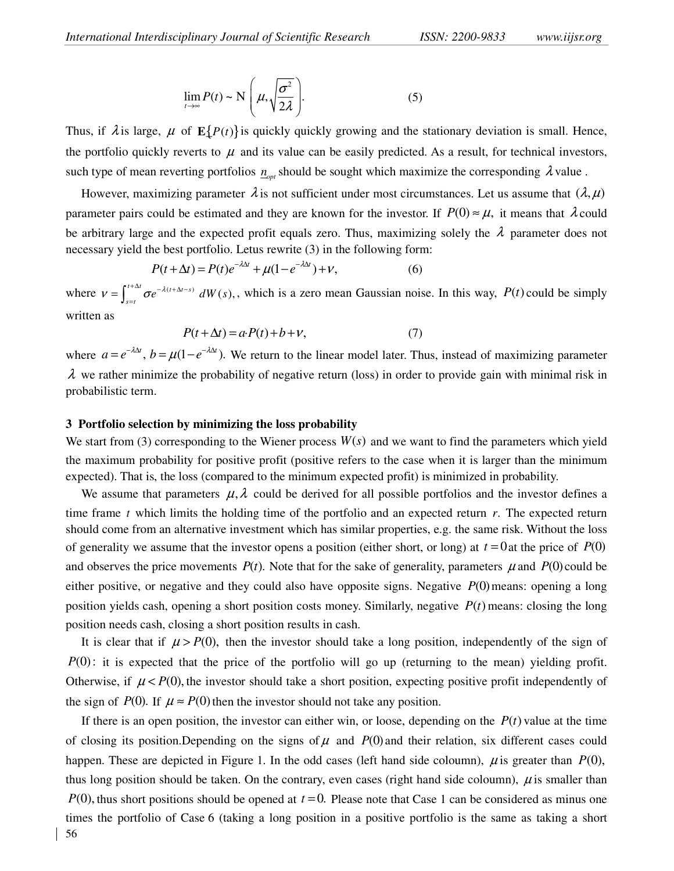$$
\lim_{t \to \infty} P(t) \sim \mathcal{N}\left(\mu, \sqrt{\frac{\sigma^2}{2\lambda}}\right).
$$
 (5)

Thus, if  $\lambda$  is large,  $\mu$  of  $E\{P(t)\}\$ is quickly quickly growing and the stationary deviation is small. Hence, the portfolio quickly reverts to  $\mu$  and its value can be easily predicted. As a result, for technical investors, such type of mean reverting portfolios  $n_{opt}$  should be sought which maximize the corresponding  $\lambda$  value.

However, maximizing parameter  $\lambda$  is not sufficient under most circumstances. Let us assume that  $(\lambda, \mu)$ parameter pairs could be estimated and they are known for the investor. If  $P(0) \approx \mu$ , it means that  $\lambda$  could be arbitrary large and the expected profit equals zero. Thus, maximizing solely the  $\lambda$  parameter does not necessary yield the best portfolio. Letus rewrite (3) in the following form:

$$
P(t + \Delta t) = P(t)e^{-\lambda \Delta t} + \mu(1 - e^{-\lambda \Delta t}) + V,\tag{6}
$$

where  $v = \int^{t + \Delta t} \sigma e^{-\lambda (t + \Delta t - s)} dW(s)$ ,  $v = \int_{s=t}^{t+\Delta t} \sigma e^{-\lambda(t+\Delta t-s)} dW(s)$  $=\int_{s=t}^{t+\Delta t} \sigma e^{-\lambda(t+\Delta t-s)} dW(s)$ , which is a zero mean Gaussian noise. In this way,  $P(t)$  could be simply written as

$$
P(t + \Delta t) = a \cdot P(t) + b + v,\tag{7}
$$

where  $a = e^{-\lambda \Delta t}$ ,  $b = \mu(1 - e^{-\lambda \Delta t})$ . We return to the linear model later. Thus, instead of maximizing parameter  $\lambda$  we rather minimize the probability of negative return (loss) in order to provide gain with minimal risk in probabilistic term.

#### **3 Portfolio selection by minimizing the loss probability**

We start from (3) corresponding to the Wiener process  $W(s)$  and we want to find the parameters which yield the maximum probability for positive profit (positive refers to the case when it is larger than the minimum expected). That is, the loss (compared to the minimum expected profit) is minimized in probability.

We assume that parameters  $\mu$ ,  $\lambda$  could be derived for all possible portfolios and the investor defines a time frame *t* which limits the holding time of the portfolio and an expected return *r*. The expected return should come from an alternative investment which has similar properties, e.g. the same risk. Without the loss of generality we assume that the investor opens a position (either short, or long) at  $t = 0$  at the price of  $P(0)$ and observes the price movements  $P(t)$ . Note that for the sake of generality, parameters  $\mu$  and  $P(0)$  could be either positive, or negative and they could also have opposite signs. Negative  $P(0)$  means: opening a long position yields cash, opening a short position costs money. Similarly, negative  $P(t)$  means: closing the long position needs cash, closing a short position results in cash.

It is clear that if  $\mu > P(0)$ , then the investor should take a long position, independently of the sign of *P*(0): it is expected that the price of the portfolio will go up (returning to the mean) yielding profit. Otherwise, if  $\mu < P(0)$ , the investor should take a short position, expecting positive profit independently of the sign of *P*(0). If  $\mu \approx P(0)$  then the investor should not take any position.

56 If there is an open position, the investor can either win, or loose, depending on the  $P(t)$  value at the time of closing its position.Depending on the signs of  $\mu$  and  $P(0)$  and their relation, six different cases could happen. These are depicted in Figure 1. In the odd cases (left hand side coloumn),  $\mu$  is greater than  $P(0)$ , thus long position should be taken. On the contrary, even cases (right hand side coloumn),  $\mu$  is smaller than *P*(0), thus short positions should be opened at *t* = 0. Please note that Case 1 can be considered as minus one times the portfolio of Case 6 (taking a long position in a positive portfolio is the same as taking a short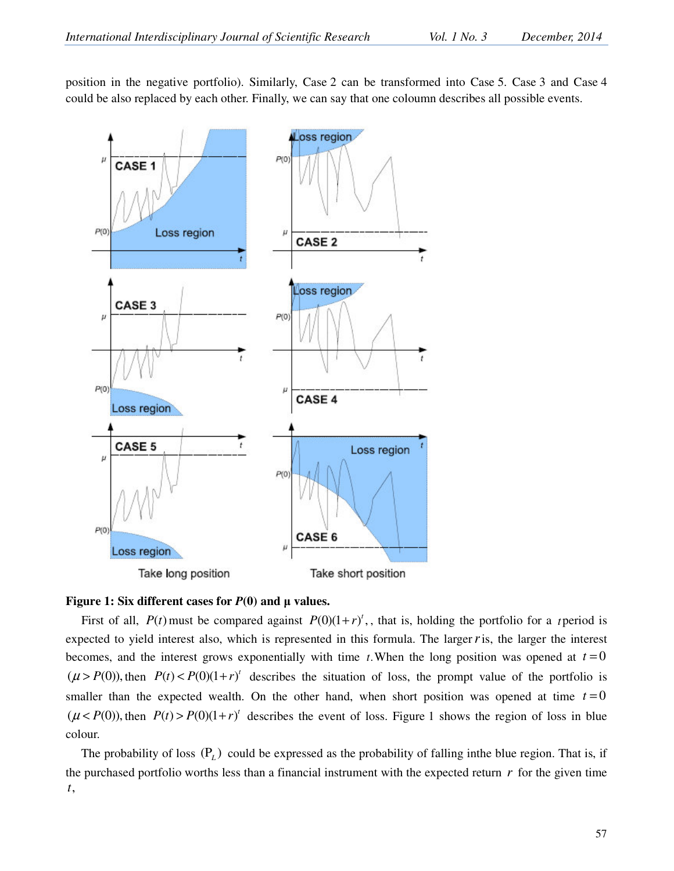position in the negative portfolio). Similarly, Case 2 can be transformed into Case 5. Case 3 and Case 4 could be also replaced by each other. Finally, we can say that one coloumn describes all possible events.



#### **Figure 1: Six different cases for**  $P(0)$  **and**  $\mu$  **values.**

First of all,  $P(t)$  must be compared against  $P(0)(1 + r)^t$ , that is, holding the portfolio for a *t* period is expected to yield interest also, which is represented in this formula. The larger*r*is, the larger the interest becomes, and the interest grows exponentially with time *t*. When the long position was opened at  $t = 0$  $(\mu > P(0))$ , then  $P(t) < P(0)(1+r)^t$  describes the situation of loss, the prompt value of the portfolio is smaller than the expected wealth. On the other hand, when short position was opened at time  $t = 0$  $(\mu < P(0))$ , then  $P(t) > P(0)(1+r)^t$  describes the event of loss. Figure 1 shows the region of loss in blue colour.

The probability of loss  $(P_L)$  could be expressed as the probability of falling inthe blue region. That is, if the purchased portfolio worths less than a financial instrument with the expected return *r* for the given time *t*,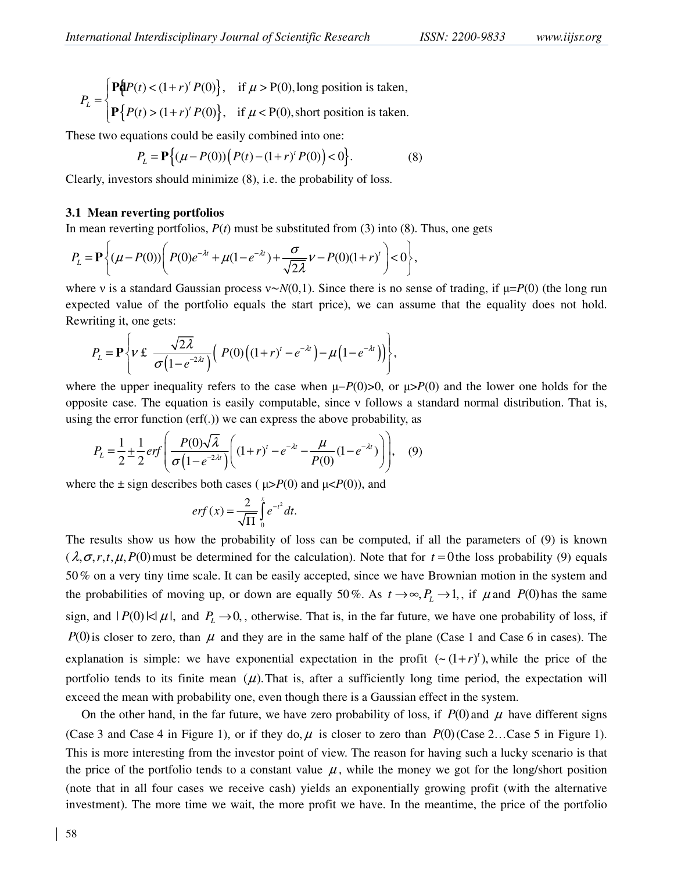$$
P_L = \begin{cases} \mathbf{P}\{P(t) < (1+r)^t P(0)\}, & \text{if } \mu > P(0), \text{long position is taken,} \\ \mathbf{P}\{P(t) > (1+r)^t P(0)\}, & \text{if } \mu < P(0), \text{short position is taken.} \end{cases}
$$

These two equations could be easily combined into one:

$$
P_{L} = \mathbf{P}\left\{ (\mu - P(0)) \Big( P(t) - (1+r)^{t} P(0) \Big) < 0 \right\}.
$$
 (8)

Clearly, investors should minimize (8), i.e. the probability of loss.

#### **3.1 Mean reverting portfolios**

In mean reverting portfolios,  $P(t)$  must be substituted from (3) into (8). Thus, one gets

$$
P_{L} = \mathbf{P}\left\{(\mu - P(0))\left(P(0)e^{-\lambda t} + \mu(1 - e^{-\lambda t}) + \frac{\sigma}{\sqrt{2\lambda}}\nu - P(0)(1+r)^{t}\right) < 0\right\},\,
$$

where ν is a standard Gaussian process ν∼*N*(0,1). Since there is no sense of trading, if µ=*P*(0) (the long run expected value of the portfolio equals the start price), we can assume that the equality does not hold. Rewriting it, one gets:

$$
P_{L} = \mathbf{P}\left\{\nu \in \frac{\sqrt{2\lambda}}{\sigma(1-e^{-2\lambda t})}\Big(|P(0)\big((1+r)^{t}-e^{-\lambda t}\big)-\mu(1-e^{-\lambda t})\Big)\right\},\,
$$

where the upper inequality refers to the case when  $\mu - P(0) > 0$ , or  $\mu > P(0)$  and the lower one holds for the opposite case. The equation is easily computable, since ν follows a standard normal distribution. That is, using the error function (erf(.)) we can express the above probability, as

$$
P_L = \frac{1}{2} \pm \frac{1}{2} erf \left( \frac{P(0)\sqrt{\lambda}}{\sigma (1 - e^{-2\lambda t})} \left( (1 + r)^t - e^{-\lambda t} - \frac{\mu}{P(0)} (1 - e^{-\lambda t}) \right) \right), \quad (9)
$$

where the  $\pm$  sign describes both cases ( $\mu > P(0)$  and  $\mu < P(0)$ ), and

$$
erf(x) = \frac{2}{\sqrt{\Pi}} \int_{0}^{x} e^{-t^2} dt.
$$

The results show us how the probability of loss can be computed, if all the parameters of (9) is known  $(\lambda, \sigma, r, t, \mu, P(0)$  must be determined for the calculation). Note that for  $t = 0$  the loss probability (9) equals 50% on a very tiny time scale. It can be easily accepted, since we have Brownian motion in the system and the probabilities of moving up, or down are equally 50%. As  $t \to \infty$ ,  $P_L \to 1$ , if  $\mu$  and  $P(0)$  has the same sign, and  $|P(0)| \leq |\mu|$ , and  $P_L \to 0$ , otherwise. That is, in the far future, we have one probability of loss, if  $P(0)$  is closer to zero, than  $\mu$  and they are in the same half of the plane (Case 1 and Case 6 in cases). The explanation is simple: we have exponential expectation in the profit  $(\sim (1+r)^t)$ , while the price of the portfolio tends to its finite mean  $(\mu)$ . That is, after a sufficiently long time period, the expectation will exceed the mean with probability one, even though there is a Gaussian effect in the system.

On the other hand, in the far future, we have zero probability of loss, if  $P(0)$  and  $\mu$  have different signs (Case 3 and Case 4 in Figure 1), or if they do,  $\mu$  is closer to zero than  $P(0)$  (Case 2...Case 5 in Figure 1). This is more interesting from the investor point of view. The reason for having such a lucky scenario is that the price of the portfolio tends to a constant value  $\mu$ , while the money we got for the long/short position (note that in all four cases we receive cash) yields an exponentially growing profit (with the alternative investment). The more time we wait, the more profit we have. In the meantime, the price of the portfolio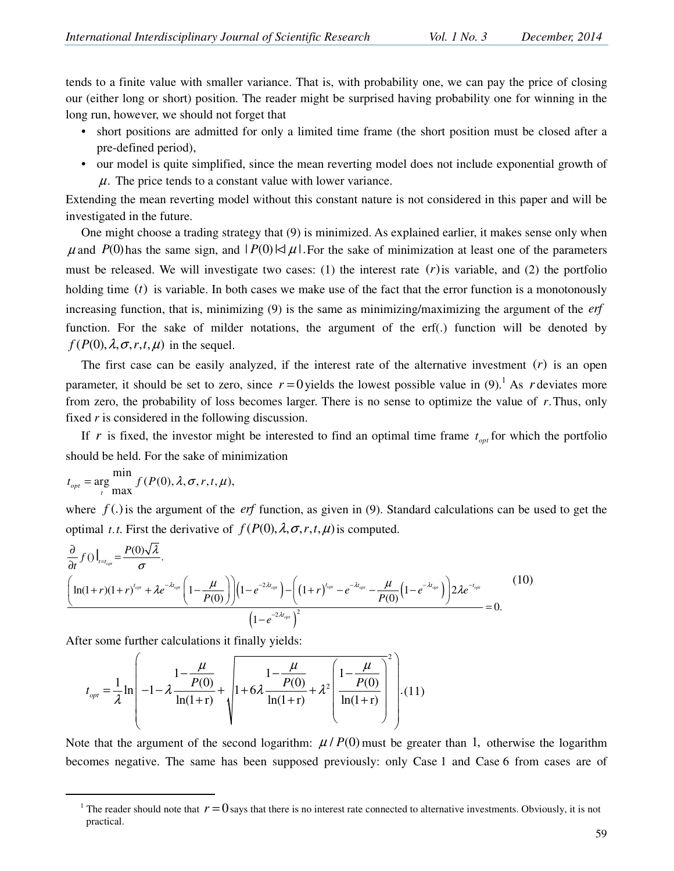tends to a finite value with smaller variance. That is, with probability one, we can pay the price of closing our (either long or short) position. The reader might be surprised having probability one for winning in the long run, however, we should not forget that

- short positions are admitted for only a limited time frame (the short position must be closed after a pre-defined period),
- our model is quite simplified, since the mean reverting model does not include exponential growth of  $\mu$ . The price tends to a constant value with lower variance.

Extending the mean reverting model without this constant nature is not considered in this paper and will be investigated in the future.

One might choose a trading strategy that (9) is minimized. As explained earlier, it makes sense only when  $\mu$  and *P*(0) has the same sign, and  $|P(0)| \leq \mu$ . For the sake of minimization at least one of the parameters must be released. We will investigate two cases: (1) the interest rate  $(r)$  is variable, and (2) the portfolio holding time  $(t)$  is variable. In both cases we make use of the fact that the error function is a monotonously increasing function, that is, minimizing (9) is the same as minimizing/maximizing the argument of the *erf* function. For the sake of milder notations, the argument of the erf(.) function will be denoted by  $f(P(0), \lambda, \sigma, r, t, \mu)$  in the sequel.

The first case can be easily analyzed, if the interest rate of the alternative investment  $(r)$  is an open parameter, it should be set to zero, since  $r = 0$  yields the lowest possible value in  $(9)$ .<sup>1</sup> As *r* deviates more from zero, the probability of loss becomes larger. There is no sense to optimize the value of *r*.Thus, only fixed *r* is considered in the following discussion.

If *r* is fixed, the investor might be interested to find an optimal time frame  $t_{opt}$  for which the portfolio should be held. For the sake of minimization

$$
t_{opt} = \underset{t}{\arg} \frac{\min}{\max} f(P(0), \lambda, \sigma, r, t, \mu),
$$

l

where  $f(.)$  is the argument of the *erf* function, as given in (9). Standard calculations can be used to get the optimal *t.t.* First the derivative of  $f(P(0), \lambda, \sigma, r, t, \mu)$  is computed.

$$
\frac{\partial}{\partial t} f() \Big|_{t=t_{opt}} = \frac{P(0)\sqrt{\lambda}}{\sigma}.
$$
\n
$$
\left(\ln(1+r)(1+r)^{t_{opt}} + \lambda e^{-\lambda t_{opt}} \left(1 - \frac{\mu}{P(0)}\right)\right) \left(1 - e^{-2\lambda t_{opt}}\right) - \left(\left(1+r\right)^{t_{opt}} - e^{-\lambda t_{opt}} - \frac{\mu}{P(0)}\left(1 - e^{-\lambda t_{opt}}\right)\right) 2\lambda e^{-t_{opt}} \qquad (10)
$$
\n
$$
\left(1 - e^{-2\lambda t_{opt}}\right)^2 = 0.
$$

After some further calculations it finally yields:

$$
t_{opt} = \frac{1}{\lambda} \ln \left( -1 - \lambda \frac{1 - \frac{\mu}{P(0)}}{\ln(1+r)} + \sqrt{1 + 6\lambda \frac{1 - \frac{\mu}{P(0)}}{\ln(1+r)}} + \lambda^2 \left( \frac{1 - \frac{\mu}{P(0)}}{\ln(1+r)} \right)^2 \right). (11)
$$

Note that the argument of the second logarithm:  $\mu$  /  $P(0)$  must be greater than 1, otherwise the logarithm becomes negative. The same has been supposed previously: only Case 1 and Case 6 from cases are of

<sup>&</sup>lt;sup>1</sup> The reader should note that  $r = 0$  says that there is no interest rate connected to alternative investments. Obviously, it is not practical.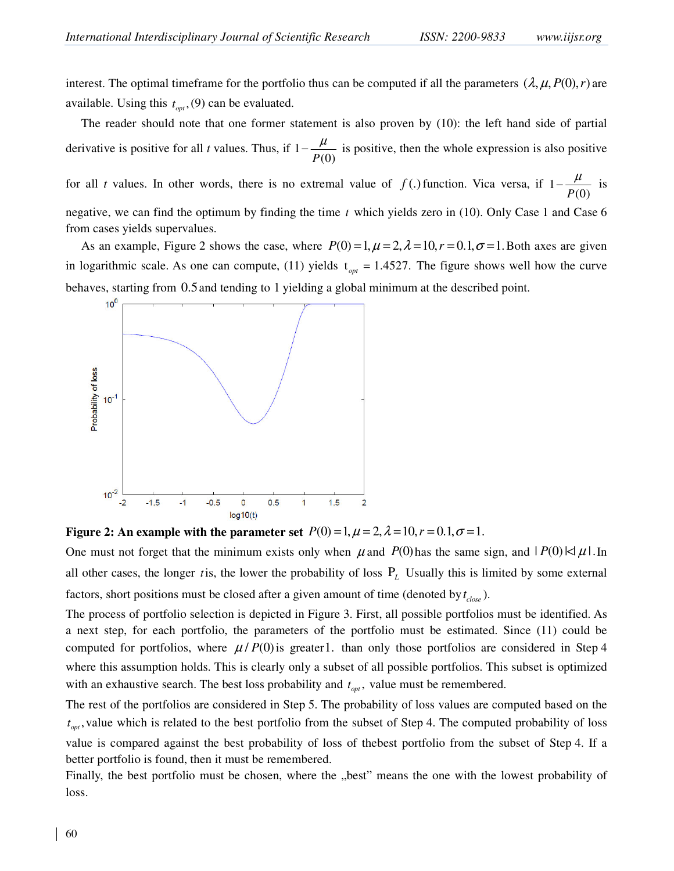interest. The optimal timeframe for the portfolio thus can be computed if all the parameters  $(\lambda, \mu, P(0), r)$  are available. Using this  $t_{opt}$ , (9) can be evaluated.

The reader should note that one former statement is also proven by (10): the left hand side of partial derivative is positive for all *t* values. Thus, if 1 *P*(0)  $-\frac{\mu}{\sqrt{2}}$  is positive, then the whole expression is also positive

for all *t* values. In other words, there is no extremal value of  $f(.)$  function. Vica versa, if 1 *P*(0)  $-\frac{\mu}{\Gamma(2)}$  is negative, we can find the optimum by finding the time *t* which yields zero in (10). Only Case 1 and Case 6 from cases yields supervalues.

As an example, Figure 2 shows the case, where  $P(0) = 1, \mu = 2, \lambda = 10, r = 0.1, \sigma = 1$ . Both axes are given in logarithmic scale. As one can compute, (11) yields  $t_{opt} = 1.4527$ . The figure shows well how the curve behaves, starting from 0.5and tending to 1 yielding a global minimum at the described point.



**Figure 2:** An example with the parameter set  $P(0) = 1, \mu = 2, \lambda = 10, r = 0.1, \sigma = 1.$ 

One must not forget that the minimum exists only when  $\mu$  and *P*(0) has the same sign, and  $|P(0)| \leq \mu$ . In all other cases, the longer *t* is, the lower the probability of loss  $P_L$  Usually this is limited by some external factors, short positions must be closed after a given amount of time (denoted by  $t_{close}$ ).

The process of portfolio selection is depicted in Figure 3. First, all possible portfolios must be identified. As a next step, for each portfolio, the parameters of the portfolio must be estimated. Since (11) could be computed for portfolios, where  $\mu$ / $P(0)$  is greater1. than only those portfolios are considered in Step 4 where this assumption holds. This is clearly only a subset of all possible portfolios. This subset is optimized with an exhaustive search. The best loss probability and  $t_{opt}$ , value must be remembered.

The rest of the portfolios are considered in Step 5. The probability of loss values are computed based on the  $t_{opt}$ , value which is related to the best portfolio from the subset of Step 4. The computed probability of loss value is compared against the best probability of loss of thebest portfolio from the subset of Step 4. If a better portfolio is found, then it must be remembered.

Finally, the best portfolio must be chosen, where the "best" means the one with the lowest probability of loss.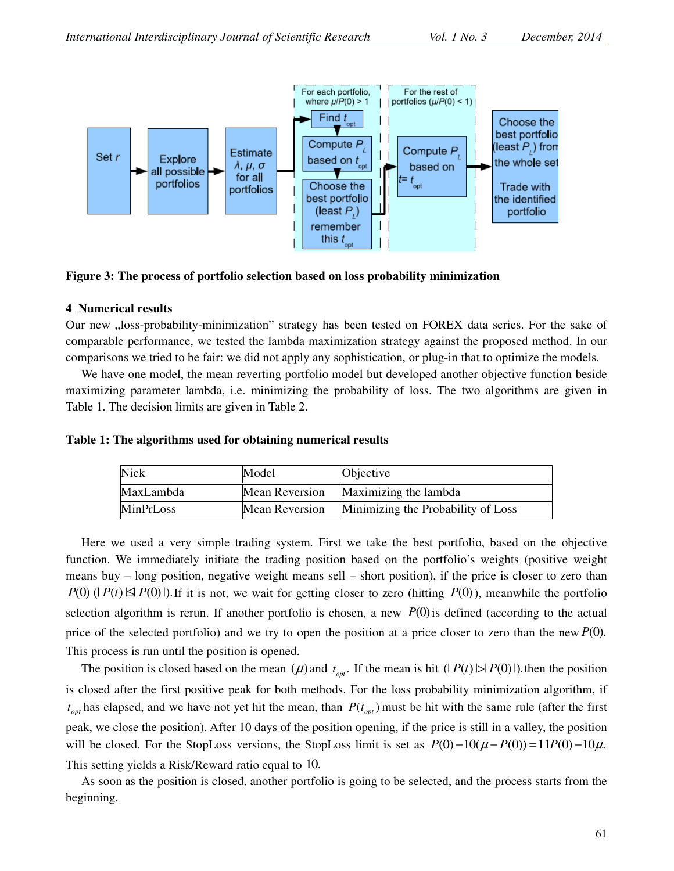

**Figure 3: The process of portfolio selection based on loss probability minimization** 

# **4 Numerical results**

Our new "loss-probability-minimization" strategy has been tested on FOREX data series. For the sake of comparable performance, we tested the lambda maximization strategy against the proposed method. In our comparisons we tried to be fair: we did not apply any sophistication, or plug-in that to optimize the models.

We have one model, the mean reverting portfolio model but developed another objective function beside maximizing parameter lambda, i.e. minimizing the probability of loss. The two algorithms are given in Table 1. The decision limits are given in Table 2.

| Table 1: The algorithms used for obtaining numerical results |  |
|--------------------------------------------------------------|--|
|--------------------------------------------------------------|--|

| <b>Nick</b> | Model                 | Objective                          |
|-------------|-----------------------|------------------------------------|
| MaxLambda   | Mean Reversion        | Maximizing the lambda              |
| MinPrLoss   | <b>Mean Reversion</b> | Minimizing the Probability of Loss |

Here we used a very simple trading system. First we take the best portfolio, based on the objective function. We immediately initiate the trading position based on the portfolio's weights (positive weight means buy – long position, negative weight means sell – short position), if the price is closer to zero than  $P(0)$  ( $P(t) \leq P(0)$ ). *P* it is not, we wait for getting closer to zero (hitting  $P(0)$ ), meanwhile the portfolio selection algorithm is rerun. If another portfolio is chosen, a new  $P(0)$  is defined (according to the actual price of the selected portfolio) and we try to open the position at a price closer to zero than the new *P*(0). This process is run until the position is opened.

The position is closed based on the mean  $(\mu)$  and  $t_{opt}$ . If the mean is hit  $(|P(t)| > |P(0)|)$ . then the position is closed after the first positive peak for both methods. For the loss probability minimization algorithm, if  $t_{opt}$  has elapsed, and we have not yet hit the mean, than  $P(t_{opt})$  must be hit with the same rule (after the first peak, we close the position). After 10 days of the position opening, if the price is still in a valley, the position will be closed. For the StopLoss versions, the StopLoss limit is set as  $P(0) - 10(\mu - P(0)) = 11P(0) - 10\mu$ . This setting yields a Risk/Reward ratio equal to 10.

As soon as the position is closed, another portfolio is going to be selected, and the process starts from the beginning.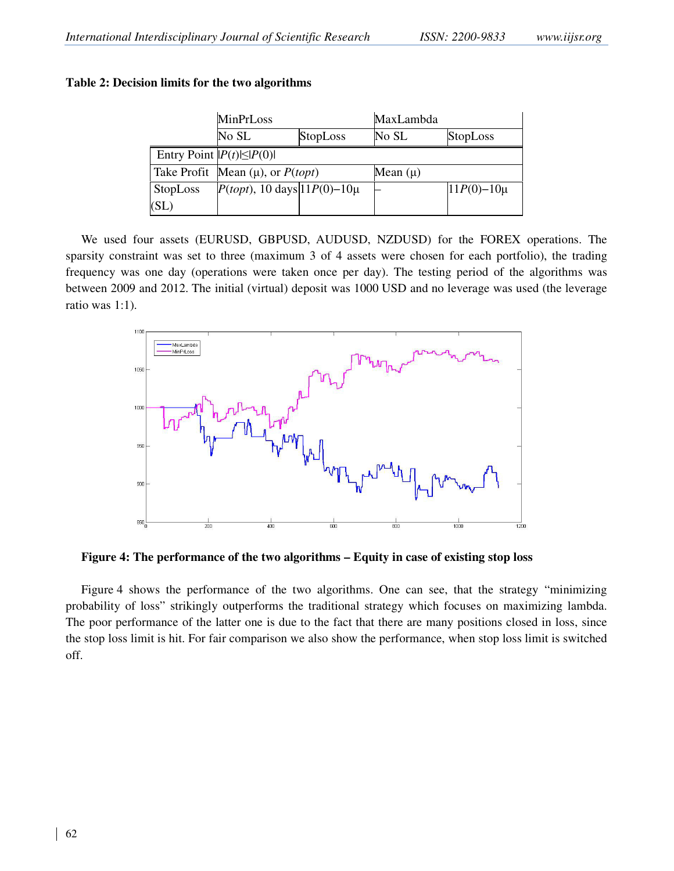# **Table 2: Decision limits for the two algorithms**

|                 | MinPrLoss                               |                 | MaxLambda    |                 |  |  |  |
|-----------------|-----------------------------------------|-----------------|--------------|-----------------|--|--|--|
|                 | No SL                                   | <b>StopLoss</b> | No SL        | <b>StopLoss</b> |  |  |  |
|                 | Entry Point $ P(t)  \leq  P(0) $        |                 |              |                 |  |  |  |
|                 | Take Profit Mean $(\mu)$ , or $P(topt)$ |                 | Mean $(\mu)$ |                 |  |  |  |
| <b>StopLoss</b> | $P(topt)$ , 10 days $11P(0)-10\mu$      |                 |              | $11P(0)-10\mu$  |  |  |  |
| (SL)            |                                         |                 |              |                 |  |  |  |

We used four assets (EURUSD, GBPUSD, AUDUSD, NZDUSD) for the FOREX operations. The sparsity constraint was set to three (maximum 3 of 4 assets were chosen for each portfolio), the trading frequency was one day (operations were taken once per day). The testing period of the algorithms was between 2009 and 2012. The initial (virtual) deposit was 1000 USD and no leverage was used (the leverage ratio was 1:1).



**Figure 4: The performance of the two algorithms – Equity in case of existing stop loss** 

Figure 4 shows the performance of the two algorithms. One can see, that the strategy "minimizing probability of loss" strikingly outperforms the traditional strategy which focuses on maximizing lambda. The poor performance of the latter one is due to the fact that there are many positions closed in loss, since the stop loss limit is hit. For fair comparison we also show the performance, when stop loss limit is switched off.